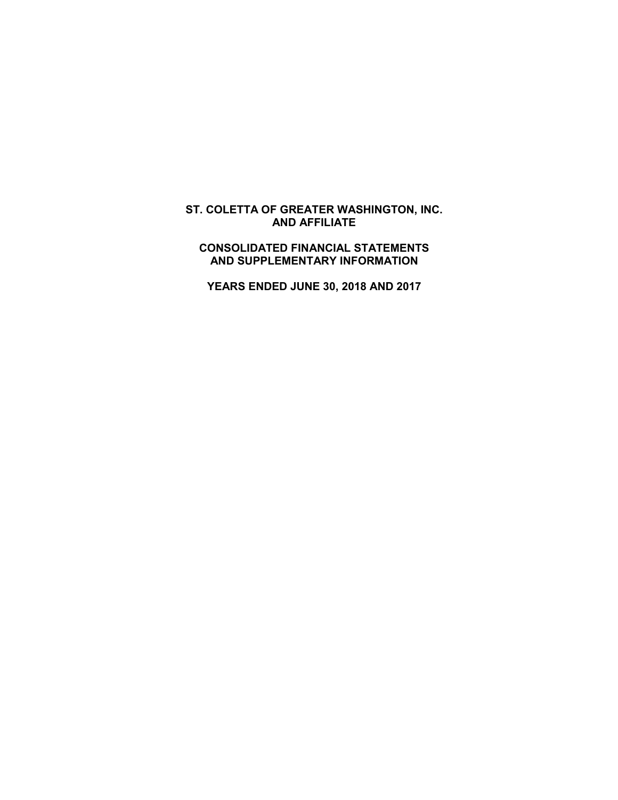# **ST. COLETTA OF GREATER WASHINGTON, INC. AND AFFILIATE**

# **CONSOLIDATED FINANCIAL STATEMENTS AND SUPPLEMENTARY INFORMATION**

**YEARS ENDED JUNE 30, 2018 AND 2017**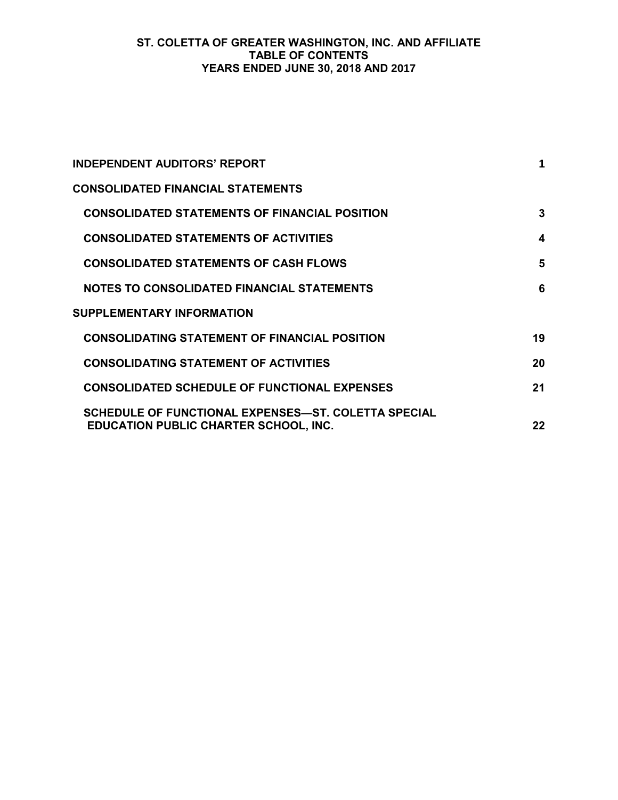# **ST. COLETTA OF GREATER WASHINGTON, INC. AND AFFILIATE TABLE OF CONTENTS YEARS ENDED JUNE 30, 2018 AND 2017**

| <b>INDEPENDENT AUDITORS' REPORT</b>                                                                 |    |
|-----------------------------------------------------------------------------------------------------|----|
| <b>CONSOLIDATED FINANCIAL STATEMENTS</b>                                                            |    |
| <b>CONSOLIDATED STATEMENTS OF FINANCIAL POSITION</b>                                                | 3  |
| <b>CONSOLIDATED STATEMENTS OF ACTIVITIES</b>                                                        | 4  |
| <b>CONSOLIDATED STATEMENTS OF CASH FLOWS</b>                                                        | 5  |
| NOTES TO CONSOLIDATED FINANCIAL STATEMENTS                                                          | 6  |
| <b>SUPPLEMENTARY INFORMATION</b>                                                                    |    |
| <b>CONSOLIDATING STATEMENT OF FINANCIAL POSITION</b>                                                | 19 |
| <b>CONSOLIDATING STATEMENT OF ACTIVITIES</b>                                                        | 20 |
| <b>CONSOLIDATED SCHEDULE OF FUNCTIONAL EXPENSES</b>                                                 | 21 |
| SCHEDULE OF FUNCTIONAL EXPENSES—ST. COLETTA SPECIAL<br><b>EDUCATION PUBLIC CHARTER SCHOOL, INC.</b> | 22 |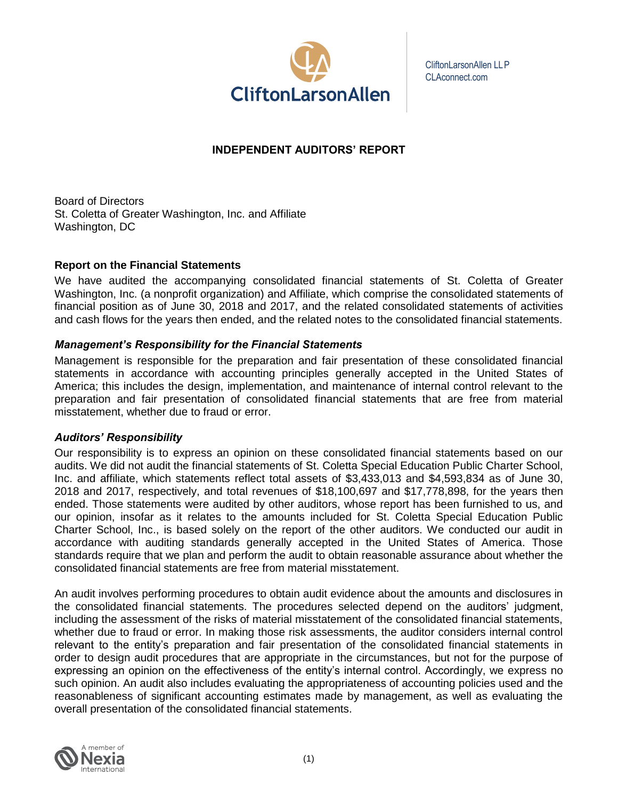

CliftonLarsonAllen LLP CLAconnect.com

# **INDEPENDENT AUDITORS' REPORT**

Board of Directors St. Coletta of Greater Washington, Inc. and Affiliate Washington, DC

## **Report on the Financial Statements**

We have audited the accompanying consolidated financial statements of St. Coletta of Greater Washington, Inc. (a nonprofit organization) and Affiliate, which comprise the consolidated statements of financial position as of June 30, 2018 and 2017, and the related consolidated statements of activities and cash flows for the years then ended, and the related notes to the consolidated financial statements.

# *Management's Responsibility for the Financial Statements*

Management is responsible for the preparation and fair presentation of these consolidated financial statements in accordance with accounting principles generally accepted in the United States of America; this includes the design, implementation, and maintenance of internal control relevant to the preparation and fair presentation of consolidated financial statements that are free from material misstatement, whether due to fraud or error.

#### *Auditors' Responsibility*

Our responsibility is to express an opinion on these consolidated financial statements based on our audits. We did not audit the financial statements of St. Coletta Special Education Public Charter School, Inc. and affiliate, which statements reflect total assets of \$3,433,013 and \$4,593,834 as of June 30, 2018 and 2017, respectively, and total revenues of \$18,100,697 and \$17,778,898, for the years then ended. Those statements were audited by other auditors, whose report has been furnished to us, and our opinion, insofar as it relates to the amounts included for St. Coletta Special Education Public Charter School, Inc., is based solely on the report of the other auditors. We conducted our audit in accordance with auditing standards generally accepted in the United States of America. Those standards require that we plan and perform the audit to obtain reasonable assurance about whether the consolidated financial statements are free from material misstatement.

An audit involves performing procedures to obtain audit evidence about the amounts and disclosures in the consolidated financial statements. The procedures selected depend on the auditors' judgment, including the assessment of the risks of material misstatement of the consolidated financial statements, whether due to fraud or error. In making those risk assessments, the auditor considers internal control relevant to the entity's preparation and fair presentation of the consolidated financial statements in order to design audit procedures that are appropriate in the circumstances, but not for the purpose of expressing an opinion on the effectiveness of the entity's internal control. Accordingly, we express no such opinion. An audit also includes evaluating the appropriateness of accounting policies used and the reasonableness of significant accounting estimates made by management, as well as evaluating the overall presentation of the consolidated financial statements.

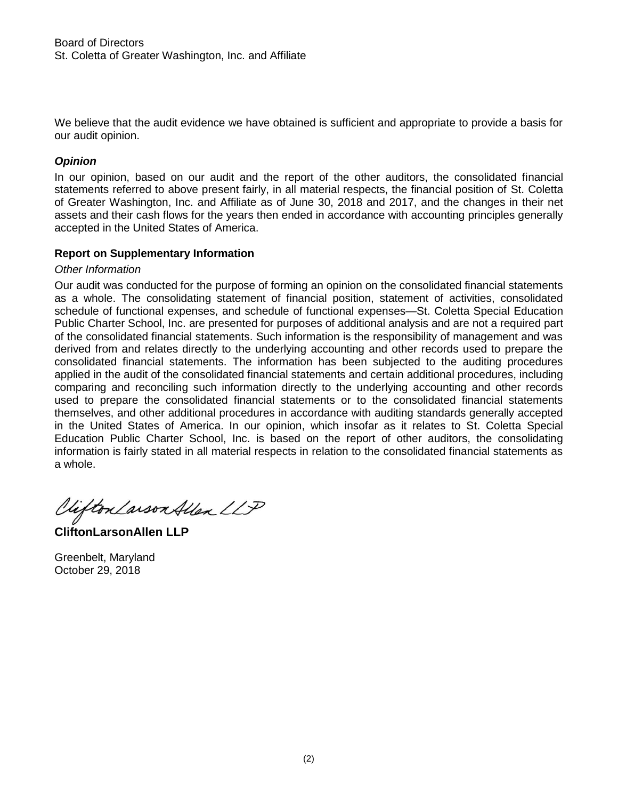We believe that the audit evidence we have obtained is sufficient and appropriate to provide a basis for our audit opinion.

# *Opinion*

In our opinion, based on our audit and the report of the other auditors, the consolidated financial statements referred to above present fairly, in all material respects, the financial position of St. Coletta of Greater Washington, Inc. and Affiliate as of June 30, 2018 and 2017, and the changes in their net assets and their cash flows for the years then ended in accordance with accounting principles generally accepted in the United States of America.

# **Report on Supplementary Information**

# *Other Information*

Our audit was conducted for the purpose of forming an opinion on the consolidated financial statements as a whole. The consolidating statement of financial position, statement of activities, consolidated schedule of functional expenses, and schedule of functional expenses—St. Coletta Special Education Public Charter School, Inc. are presented for purposes of additional analysis and are not a required part of the consolidated financial statements. Such information is the responsibility of management and was derived from and relates directly to the underlying accounting and other records used to prepare the consolidated financial statements. The information has been subjected to the auditing procedures applied in the audit of the consolidated financial statements and certain additional procedures, including comparing and reconciling such information directly to the underlying accounting and other records used to prepare the consolidated financial statements or to the consolidated financial statements themselves, and other additional procedures in accordance with auditing standards generally accepted in the United States of America. In our opinion, which insofar as it relates to St. Coletta Special Education Public Charter School, Inc. is based on the report of other auditors, the consolidating information is fairly stated in all material respects in relation to the consolidated financial statements as a whole.

Clifton Larson Allen LLP

**CliftonLarsonAllen LLP**

Greenbelt, Maryland October 29, 2018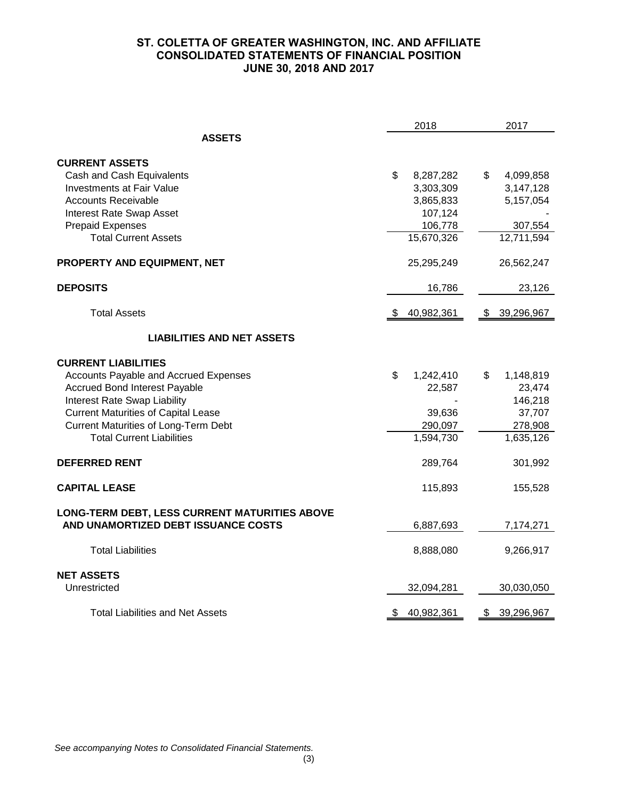# **ST. COLETTA OF GREATER WASHINGTON, INC. AND AFFILIATE CONSOLIDATED STATEMENTS OF FINANCIAL POSITION JUNE 30, 2018 AND 2017**

| 2018                                                                                                                                                                                                                                                                         |                                                                               | 2017                                                                   |
|------------------------------------------------------------------------------------------------------------------------------------------------------------------------------------------------------------------------------------------------------------------------------|-------------------------------------------------------------------------------|------------------------------------------------------------------------|
| <b>ASSETS</b>                                                                                                                                                                                                                                                                |                                                                               |                                                                        |
| <b>CURRENT ASSETS</b><br>Cash and Cash Equivalents<br><b>Investments at Fair Value</b><br><b>Accounts Receivable</b><br>Interest Rate Swap Asset<br><b>Prepaid Expenses</b><br><b>Total Current Assets</b>                                                                   | \$<br>8,287,282<br>3,303,309<br>3,865,833<br>107,124<br>106,778<br>15,670,326 | \$<br>4,099,858<br>3,147,128<br>5,157,054<br>307,554<br>12,711,594     |
| PROPERTY AND EQUIPMENT, NET                                                                                                                                                                                                                                                  | 25,295,249                                                                    | 26,562,247                                                             |
| <b>DEPOSITS</b>                                                                                                                                                                                                                                                              | 16,786                                                                        | 23,126                                                                 |
| <b>Total Assets</b>                                                                                                                                                                                                                                                          | 40,982,361                                                                    | 39,296,967<br>S.                                                       |
| <b>LIABILITIES AND NET ASSETS</b>                                                                                                                                                                                                                                            |                                                                               |                                                                        |
| <b>CURRENT LIABILITIES</b><br>Accounts Payable and Accrued Expenses<br><b>Accrued Bond Interest Payable</b><br>Interest Rate Swap Liability<br><b>Current Maturities of Capital Lease</b><br><b>Current Maturities of Long-Term Debt</b><br><b>Total Current Liabilities</b> | \$<br>1,242,410<br>22,587<br>39,636<br>290,097<br>1,594,730                   | \$<br>1,148,819<br>23,474<br>146,218<br>37,707<br>278,908<br>1,635,126 |
| <b>DEFERRED RENT</b>                                                                                                                                                                                                                                                         | 289,764                                                                       | 301,992                                                                |
| <b>CAPITAL LEASE</b>                                                                                                                                                                                                                                                         | 115,893                                                                       | 155,528                                                                |
| LONG-TERM DEBT, LESS CURRENT MATURITIES ABOVE<br>AND UNAMORTIZED DEBT ISSUANCE COSTS                                                                                                                                                                                         | 6,887,693                                                                     | 7,174,271                                                              |
| <b>Total Liabilities</b>                                                                                                                                                                                                                                                     | 8,888,080                                                                     | 9,266,917                                                              |
| <b>NET ASSETS</b><br>Unrestricted                                                                                                                                                                                                                                            | 32,094,281                                                                    | 30,030,050                                                             |
| <b>Total Liabilities and Net Assets</b>                                                                                                                                                                                                                                      | 40,982,361<br>\$                                                              | 39,296,967<br>\$                                                       |

*See accompanying Notes to Consolidated Financial Statements.*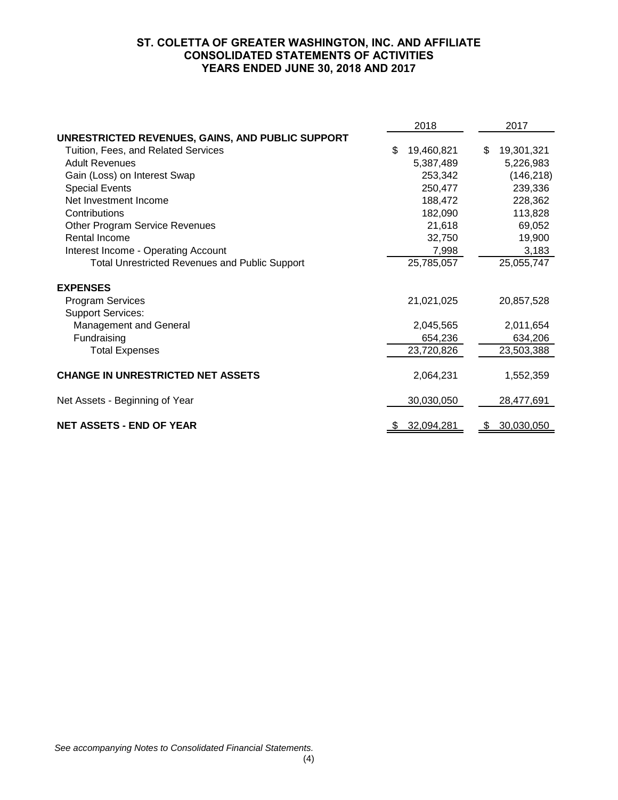# **ST. COLETTA OF GREATER WASHINGTON, INC. AND AFFILIATE CONSOLIDATED STATEMENTS OF ACTIVITIES YEARS ENDED JUNE 30, 2018 AND 2017**

|                                                       | 2018 |            |     | 2017       |  |
|-------------------------------------------------------|------|------------|-----|------------|--|
| UNRESTRICTED REVENUES, GAINS, AND PUBLIC SUPPORT      |      |            |     |            |  |
| Tuition, Fees, and Related Services                   | \$   | 19,460,821 | \$  | 19,301,321 |  |
| <b>Adult Revenues</b>                                 |      | 5,387,489  |     | 5,226,983  |  |
| Gain (Loss) on Interest Swap                          |      | 253,342    |     | (146, 218) |  |
| <b>Special Events</b>                                 |      | 250,477    |     | 239,336    |  |
| Net Investment Income                                 |      | 188,472    |     | 228,362    |  |
| Contributions                                         |      | 182,090    |     | 113,828    |  |
| <b>Other Program Service Revenues</b>                 |      | 21,618     |     | 69,052     |  |
| Rental Income                                         |      | 32,750     |     | 19,900     |  |
| Interest Income - Operating Account                   |      | 7,998      |     | 3,183      |  |
| <b>Total Unrestricted Revenues and Public Support</b> |      | 25,785,057 |     | 25,055,747 |  |
| <b>EXPENSES</b>                                       |      |            |     |            |  |
| <b>Program Services</b>                               |      | 21,021,025 |     | 20,857,528 |  |
| <b>Support Services:</b>                              |      |            |     |            |  |
| Management and General                                |      | 2,045,565  |     | 2,011,654  |  |
| Fundraising                                           |      | 654,236    |     | 634,206    |  |
| <b>Total Expenses</b>                                 |      | 23,720,826 |     | 23,503,388 |  |
| <b>CHANGE IN UNRESTRICTED NET ASSETS</b>              |      | 2,064,231  |     | 1,552,359  |  |
| Net Assets - Beginning of Year                        |      | 30,030,050 |     | 28,477,691 |  |
| <b>NET ASSETS - END OF YEAR</b>                       | \$.  | 32,094,281 | \$. | 30,030,050 |  |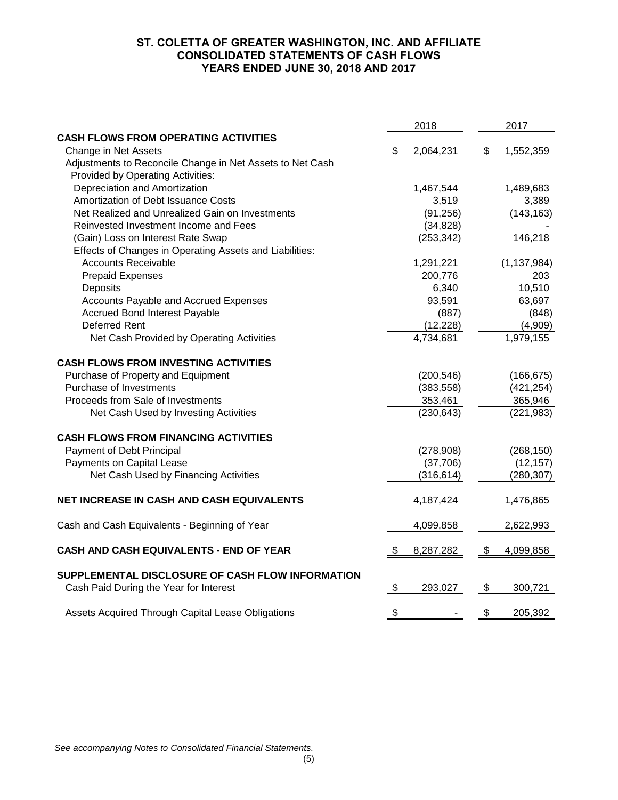# **ST. COLETTA OF GREATER WASHINGTON, INC. AND AFFILIATE CONSOLIDATED STATEMENTS OF CASH FLOWS YEARS ENDED JUNE 30, 2018 AND 2017**

|                                                                                            | 2018          |            |               | 2017          |  |
|--------------------------------------------------------------------------------------------|---------------|------------|---------------|---------------|--|
| <b>CASH FLOWS FROM OPERATING ACTIVITIES</b>                                                |               |            |               |               |  |
| Change in Net Assets                                                                       | S             | 2,064,231  | \$            | 1,552,359     |  |
| Adjustments to Reconcile Change in Net Assets to Net Cash                                  |               |            |               |               |  |
| Provided by Operating Activities:                                                          |               |            |               |               |  |
| Depreciation and Amortization                                                              |               | 1,467,544  |               | 1,489,683     |  |
| Amortization of Debt Issuance Costs                                                        |               | 3,519      |               | 3,389         |  |
| Net Realized and Unrealized Gain on Investments                                            |               | (91, 256)  |               | (143, 163)    |  |
| Reinvested Investment Income and Fees                                                      |               | (34, 828)  |               |               |  |
| (Gain) Loss on Interest Rate Swap                                                          |               | (253, 342) |               | 146,218       |  |
| Effects of Changes in Operating Assets and Liabilities:                                    |               |            |               |               |  |
| <b>Accounts Receivable</b>                                                                 |               | 1,291,221  |               | (1, 137, 984) |  |
| <b>Prepaid Expenses</b>                                                                    |               | 200,776    |               | 203           |  |
| Deposits                                                                                   |               | 6,340      |               | 10,510        |  |
| Accounts Payable and Accrued Expenses                                                      |               | 93,591     |               | 63,697        |  |
| <b>Accrued Bond Interest Payable</b>                                                       |               | (887)      |               | (848)         |  |
| <b>Deferred Rent</b>                                                                       |               | (12, 228)  |               | (4,909)       |  |
| Net Cash Provided by Operating Activities                                                  |               | 4,734,681  |               | 1,979,155     |  |
| <b>CASH FLOWS FROM INVESTING ACTIVITIES</b>                                                |               |            |               |               |  |
| Purchase of Property and Equipment                                                         |               | (200, 546) |               | (166, 675)    |  |
| Purchase of Investments                                                                    |               | (383, 558) |               | (421, 254)    |  |
| Proceeds from Sale of Investments                                                          |               | 353,461    |               | 365,946       |  |
| Net Cash Used by Investing Activities                                                      |               | (230, 643) |               | (221, 983)    |  |
| <b>CASH FLOWS FROM FINANCING ACTIVITIES</b>                                                |               |            |               |               |  |
| Payment of Debt Principal                                                                  |               | (278,908)  |               | (268, 150)    |  |
| Payments on Capital Lease                                                                  |               | (37,706)   |               | (12, 157)     |  |
| Net Cash Used by Financing Activities                                                      |               | (316, 614) |               | (280, 307)    |  |
| NET INCREASE IN CASH AND CASH EQUIVALENTS                                                  |               | 4,187,424  |               | 1,476,865     |  |
| Cash and Cash Equivalents - Beginning of Year                                              |               | 4,099,858  |               | 2,622,993     |  |
| <b>CASH AND CASH EQUIVALENTS - END OF YEAR</b>                                             |               | 8,287,282  | \$            | 4,099,858     |  |
| SUPPLEMENTAL DISCLOSURE OF CASH FLOW INFORMATION<br>Cash Paid During the Year for Interest | <u>\$</u>     | 293,027    | $\frac{1}{2}$ | 300,721       |  |
|                                                                                            |               |            |               |               |  |
| Assets Acquired Through Capital Lease Obligations                                          | $\frac{1}{2}$ |            | \$            | 205,392       |  |

*See accompanying Notes to Consolidated Financial Statements.*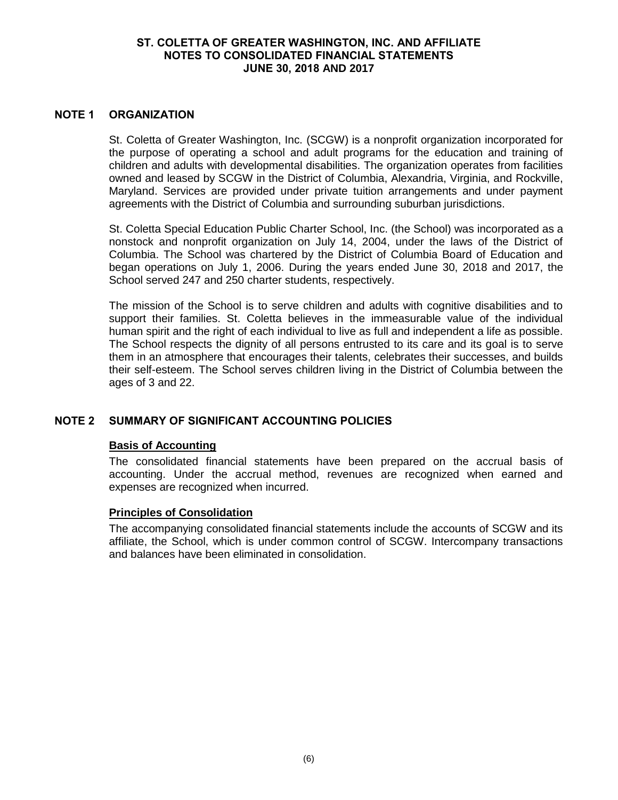#### **NOTE 1 ORGANIZATION**

St. Coletta of Greater Washington, Inc. (SCGW) is a nonprofit organization incorporated for the purpose of operating a school and adult programs for the education and training of children and adults with developmental disabilities. The organization operates from facilities owned and leased by SCGW in the District of Columbia, Alexandria, Virginia, and Rockville, Maryland. Services are provided under private tuition arrangements and under payment agreements with the District of Columbia and surrounding suburban jurisdictions.

St. Coletta Special Education Public Charter School, Inc. (the School) was incorporated as a nonstock and nonprofit organization on July 14, 2004, under the laws of the District of Columbia. The School was chartered by the District of Columbia Board of Education and began operations on July 1, 2006. During the years ended June 30, 2018 and 2017, the School served 247 and 250 charter students, respectively.

The mission of the School is to serve children and adults with cognitive disabilities and to support their families. St. Coletta believes in the immeasurable value of the individual human spirit and the right of each individual to live as full and independent a life as possible. The School respects the dignity of all persons entrusted to its care and its goal is to serve them in an atmosphere that encourages their talents, celebrates their successes, and builds their self-esteem. The School serves children living in the District of Columbia between the ages of 3 and 22.

# **NOTE 2 SUMMARY OF SIGNIFICANT ACCOUNTING POLICIES**

# **Basis of Accounting**

The consolidated financial statements have been prepared on the accrual basis of accounting. Under the accrual method, revenues are recognized when earned and expenses are recognized when incurred.

#### **Principles of Consolidation**

The accompanying consolidated financial statements include the accounts of SCGW and its affiliate, the School, which is under common control of SCGW. Intercompany transactions and balances have been eliminated in consolidation.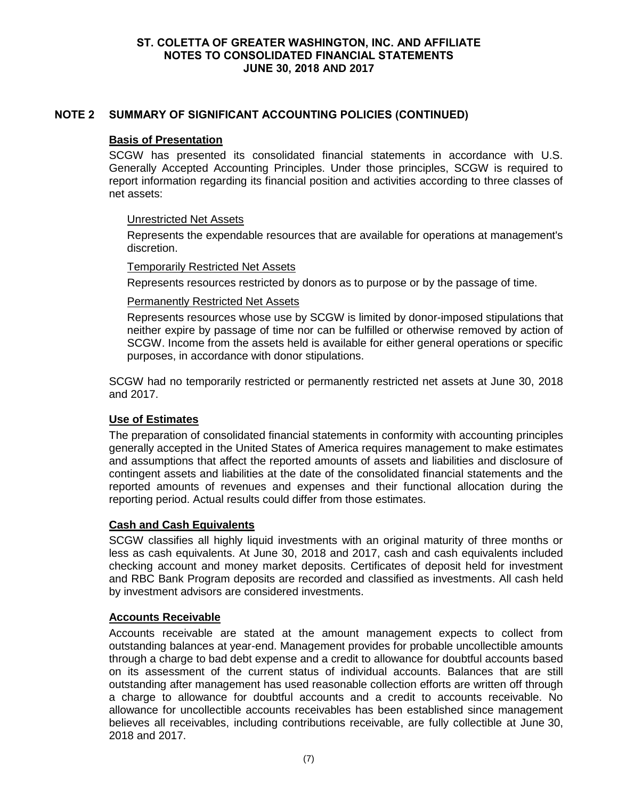# **NOTE 2 SUMMARY OF SIGNIFICANT ACCOUNTING POLICIES (CONTINUED)**

#### **Basis of Presentation**

SCGW has presented its consolidated financial statements in accordance with U.S. Generally Accepted Accounting Principles. Under those principles, SCGW is required to report information regarding its financial position and activities according to three classes of net assets:

#### Unrestricted Net Assets

Represents the expendable resources that are available for operations at management's discretion.

#### Temporarily Restricted Net Assets

Represents resources restricted by donors as to purpose or by the passage of time.

## Permanently Restricted Net Assets

Represents resources whose use by SCGW is limited by donor-imposed stipulations that neither expire by passage of time nor can be fulfilled or otherwise removed by action of SCGW. Income from the assets held is available for either general operations or specific purposes, in accordance with donor stipulations.

SCGW had no temporarily restricted or permanently restricted net assets at June 30, 2018 and 2017.

# **Use of Estimates**

The preparation of consolidated financial statements in conformity with accounting principles generally accepted in the United States of America requires management to make estimates and assumptions that affect the reported amounts of assets and liabilities and disclosure of contingent assets and liabilities at the date of the consolidated financial statements and the reported amounts of revenues and expenses and their functional allocation during the reporting period. Actual results could differ from those estimates.

# **Cash and Cash Equivalents**

SCGW classifies all highly liquid investments with an original maturity of three months or less as cash equivalents. At June 30, 2018 and 2017, cash and cash equivalents included checking account and money market deposits. Certificates of deposit held for investment and RBC Bank Program deposits are recorded and classified as investments. All cash held by investment advisors are considered investments.

#### **Accounts Receivable**

Accounts receivable are stated at the amount management expects to collect from outstanding balances at year-end. Management provides for probable uncollectible amounts through a charge to bad debt expense and a credit to allowance for doubtful accounts based on its assessment of the current status of individual accounts. Balances that are still outstanding after management has used reasonable collection efforts are written off through a charge to allowance for doubtful accounts and a credit to accounts receivable. No allowance for uncollectible accounts receivables has been established since management believes all receivables, including contributions receivable, are fully collectible at June 30, 2018 and 2017.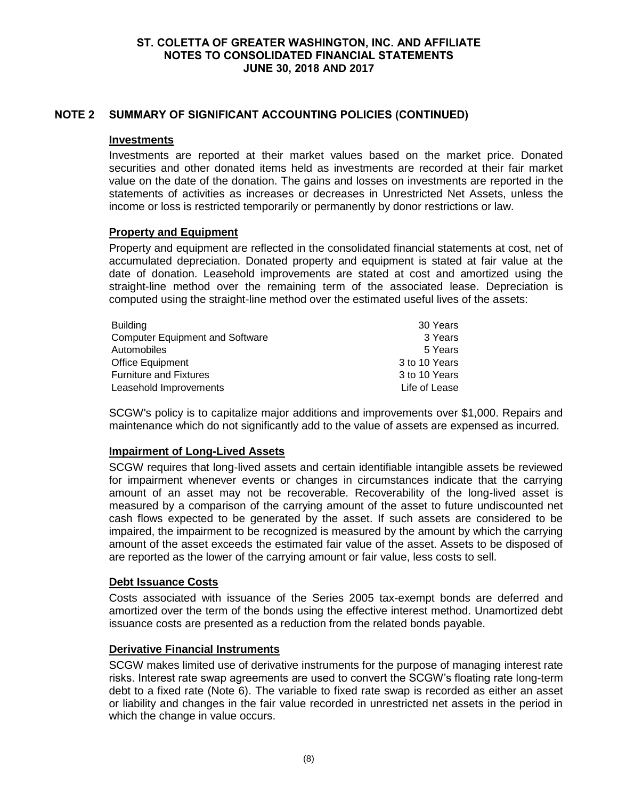# **NOTE 2 SUMMARY OF SIGNIFICANT ACCOUNTING POLICIES (CONTINUED)**

#### **Investments**

Investments are reported at their market values based on the market price. Donated securities and other donated items held as investments are recorded at their fair market value on the date of the donation. The gains and losses on investments are reported in the statements of activities as increases or decreases in Unrestricted Net Assets, unless the income or loss is restricted temporarily or permanently by donor restrictions or law.

#### **Property and Equipment**

Property and equipment are reflected in the consolidated financial statements at cost, net of accumulated depreciation. Donated property and equipment is stated at fair value at the date of donation. Leasehold improvements are stated at cost and amortized using the straight-line method over the remaining term of the associated lease. Depreciation is computed using the straight-line method over the estimated useful lives of the assets:

| <b>Building</b>                        | 30 Years      |
|----------------------------------------|---------------|
| <b>Computer Equipment and Software</b> | 3 Years       |
| Automobiles                            | 5 Years       |
| Office Equipment                       | 3 to 10 Years |
| <b>Furniture and Fixtures</b>          | 3 to 10 Years |
| Leasehold Improvements                 | Life of Lease |

SCGW's policy is to capitalize major additions and improvements over \$1,000. Repairs and maintenance which do not significantly add to the value of assets are expensed as incurred.

#### **Impairment of Long-Lived Assets**

SCGW requires that long-lived assets and certain identifiable intangible assets be reviewed for impairment whenever events or changes in circumstances indicate that the carrying amount of an asset may not be recoverable. Recoverability of the long-lived asset is measured by a comparison of the carrying amount of the asset to future undiscounted net cash flows expected to be generated by the asset. If such assets are considered to be impaired, the impairment to be recognized is measured by the amount by which the carrying amount of the asset exceeds the estimated fair value of the asset. Assets to be disposed of are reported as the lower of the carrying amount or fair value, less costs to sell.

#### **Debt Issuance Costs**

Costs associated with issuance of the Series 2005 tax-exempt bonds are deferred and amortized over the term of the bonds using the effective interest method. Unamortized debt issuance costs are presented as a reduction from the related bonds payable.

#### **Derivative Financial Instruments**

SCGW makes limited use of derivative instruments for the purpose of managing interest rate risks. Interest rate swap agreements are used to convert the SCGW's floating rate long-term debt to a fixed rate (Note 6). The variable to fixed rate swap is recorded as either an asset or liability and changes in the fair value recorded in unrestricted net assets in the period in which the change in value occurs.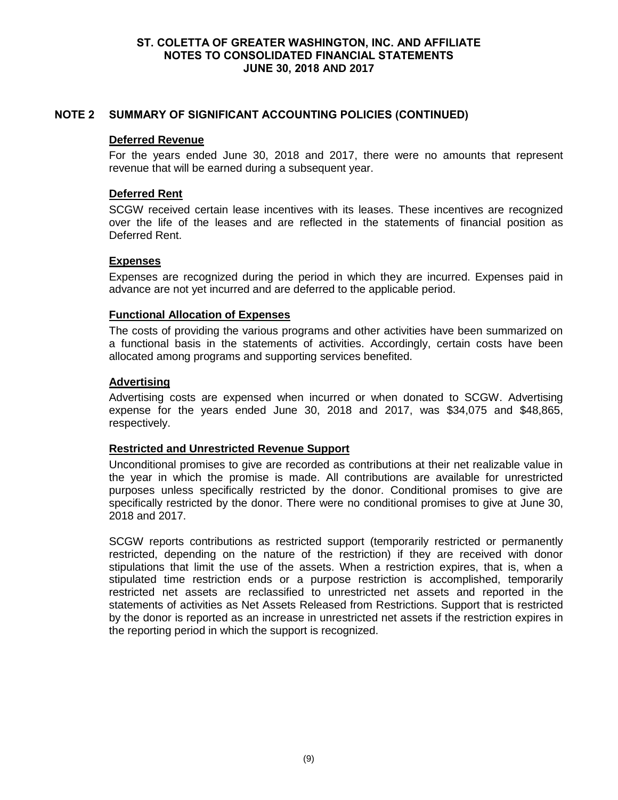# **NOTE 2 SUMMARY OF SIGNIFICANT ACCOUNTING POLICIES (CONTINUED)**

#### **Deferred Revenue**

For the years ended June 30, 2018 and 2017, there were no amounts that represent revenue that will be earned during a subsequent year.

## **Deferred Rent**

SCGW received certain lease incentives with its leases. These incentives are recognized over the life of the leases and are reflected in the statements of financial position as Deferred Rent.

## **Expenses**

Expenses are recognized during the period in which they are incurred. Expenses paid in advance are not yet incurred and are deferred to the applicable period.

## **Functional Allocation of Expenses**

The costs of providing the various programs and other activities have been summarized on a functional basis in the statements of activities. Accordingly, certain costs have been allocated among programs and supporting services benefited.

## **Advertising**

Advertising costs are expensed when incurred or when donated to SCGW. Advertising expense for the years ended June 30, 2018 and 2017, was \$34,075 and \$48,865, respectively.

#### **Restricted and Unrestricted Revenue Support**

Unconditional promises to give are recorded as contributions at their net realizable value in the year in which the promise is made. All contributions are available for unrestricted purposes unless specifically restricted by the donor. Conditional promises to give are specifically restricted by the donor. There were no conditional promises to give at June 30, 2018 and 2017.

SCGW reports contributions as restricted support (temporarily restricted or permanently restricted, depending on the nature of the restriction) if they are received with donor stipulations that limit the use of the assets. When a restriction expires, that is, when a stipulated time restriction ends or a purpose restriction is accomplished, temporarily restricted net assets are reclassified to unrestricted net assets and reported in the statements of activities as Net Assets Released from Restrictions. Support that is restricted by the donor is reported as an increase in unrestricted net assets if the restriction expires in the reporting period in which the support is recognized.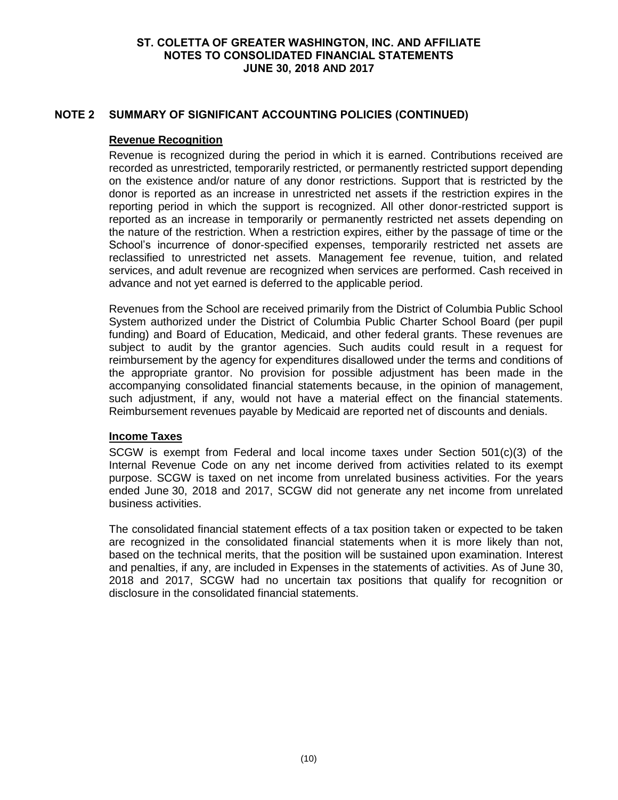# **NOTE 2 SUMMARY OF SIGNIFICANT ACCOUNTING POLICIES (CONTINUED)**

## **Revenue Recognition**

Revenue is recognized during the period in which it is earned. Contributions received are recorded as unrestricted, temporarily restricted, or permanently restricted support depending on the existence and/or nature of any donor restrictions. Support that is restricted by the donor is reported as an increase in unrestricted net assets if the restriction expires in the reporting period in which the support is recognized. All other donor-restricted support is reported as an increase in temporarily or permanently restricted net assets depending on the nature of the restriction. When a restriction expires, either by the passage of time or the School's incurrence of donor-specified expenses, temporarily restricted net assets are reclassified to unrestricted net assets. Management fee revenue, tuition, and related services, and adult revenue are recognized when services are performed. Cash received in advance and not yet earned is deferred to the applicable period.

Revenues from the School are received primarily from the District of Columbia Public School System authorized under the District of Columbia Public Charter School Board (per pupil funding) and Board of Education, Medicaid, and other federal grants. These revenues are subject to audit by the grantor agencies. Such audits could result in a request for reimbursement by the agency for expenditures disallowed under the terms and conditions of the appropriate grantor. No provision for possible adjustment has been made in the accompanying consolidated financial statements because, in the opinion of management, such adjustment, if any, would not have a material effect on the financial statements. Reimbursement revenues payable by Medicaid are reported net of discounts and denials.

## **Income Taxes**

SCGW is exempt from Federal and local income taxes under Section 501(c)(3) of the Internal Revenue Code on any net income derived from activities related to its exempt purpose. SCGW is taxed on net income from unrelated business activities. For the years ended June 30, 2018 and 2017, SCGW did not generate any net income from unrelated business activities.

The consolidated financial statement effects of a tax position taken or expected to be taken are recognized in the consolidated financial statements when it is more likely than not, based on the technical merits, that the position will be sustained upon examination. Interest and penalties, if any, are included in Expenses in the statements of activities. As of June 30, 2018 and 2017, SCGW had no uncertain tax positions that qualify for recognition or disclosure in the consolidated financial statements.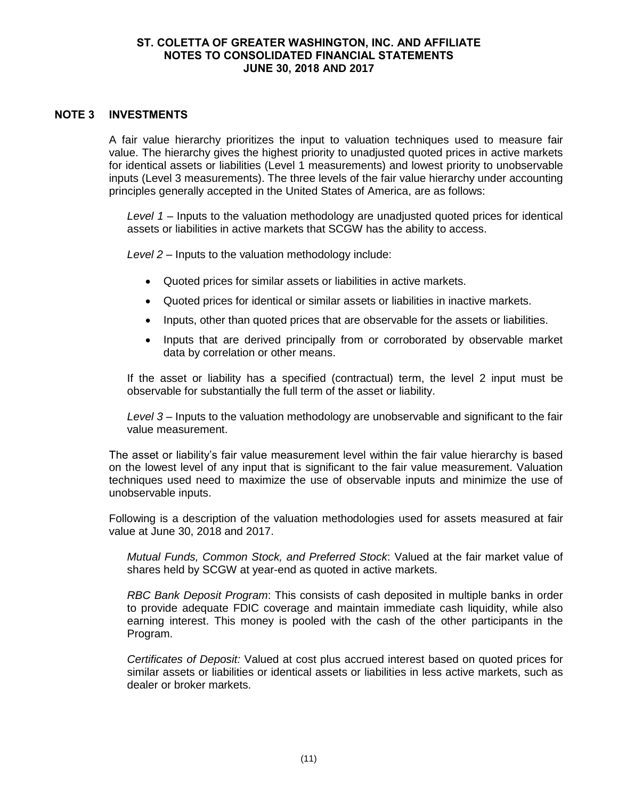## **NOTE 3 INVESTMENTS**

A fair value hierarchy prioritizes the input to valuation techniques used to measure fair value. The hierarchy gives the highest priority to unadjusted quoted prices in active markets for identical assets or liabilities (Level 1 measurements) and lowest priority to unobservable inputs (Level 3 measurements). The three levels of the fair value hierarchy under accounting principles generally accepted in the United States of America, are as follows:

*Level 1* – Inputs to the valuation methodology are unadjusted quoted prices for identical assets or liabilities in active markets that SCGW has the ability to access.

*Level 2* – Inputs to the valuation methodology include:

- Quoted prices for similar assets or liabilities in active markets.
- Quoted prices for identical or similar assets or liabilities in inactive markets.
- Inputs, other than quoted prices that are observable for the assets or liabilities.
- Inputs that are derived principally from or corroborated by observable market data by correlation or other means.

If the asset or liability has a specified (contractual) term, the level 2 input must be observable for substantially the full term of the asset or liability.

*Level 3* – Inputs to the valuation methodology are unobservable and significant to the fair value measurement.

The asset or liability's fair value measurement level within the fair value hierarchy is based on the lowest level of any input that is significant to the fair value measurement. Valuation techniques used need to maximize the use of observable inputs and minimize the use of unobservable inputs.

Following is a description of the valuation methodologies used for assets measured at fair value at June 30, 2018 and 2017.

*Mutual Funds, Common Stock, and Preferred Stock*: Valued at the fair market value of shares held by SCGW at year-end as quoted in active markets.

*RBC Bank Deposit Program*: This consists of cash deposited in multiple banks in order to provide adequate FDIC coverage and maintain immediate cash liquidity, while also earning interest. This money is pooled with the cash of the other participants in the Program.

*Certificates of Deposit:* Valued at cost plus accrued interest based on quoted prices for similar assets or liabilities or identical assets or liabilities in less active markets, such as dealer or broker markets.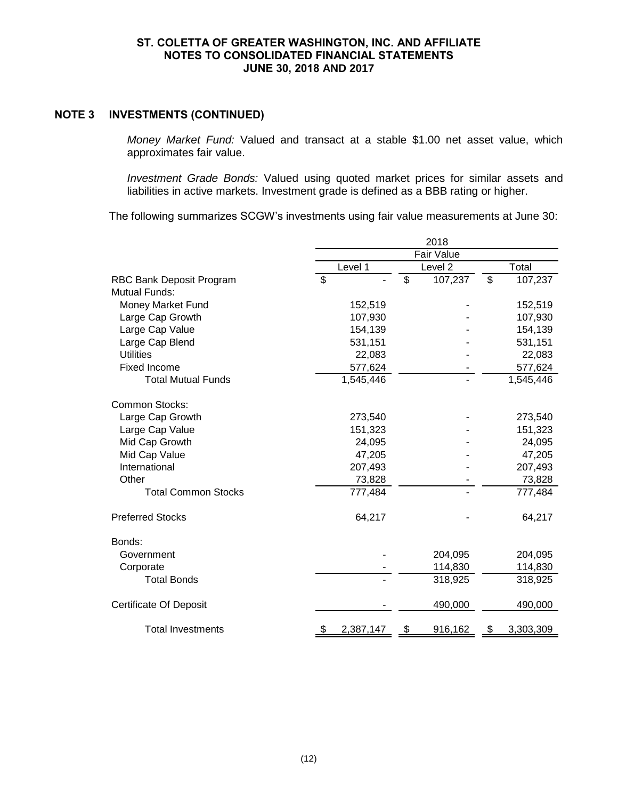## **NOTE 3 INVESTMENTS (CONTINUED)**

*Money Market Fund:* Valued and transact at a stable \$1.00 net asset value, which approximates fair value.

*Investment Grade Bonds:* Valued using quoted market prices for similar assets and liabilities in active markets. Investment grade is defined as a BBB rating or higher.

The following summarizes SCGW's investments using fair value measurements at June 30:

|                               | 2018                     |                   |                      |        |           |  |
|-------------------------------|--------------------------|-------------------|----------------------|--------|-----------|--|
|                               |                          | <b>Fair Value</b> |                      |        |           |  |
|                               | Level 1                  |                   | Level $\overline{2}$ |        | Total     |  |
| RBC Bank Deposit Program      | $\overline{\mathcal{S}}$ | \$                | 107,237              | \$     | 107,237   |  |
| <b>Mutual Funds:</b>          |                          |                   |                      |        |           |  |
| Money Market Fund             | 152,519                  |                   |                      |        | 152,519   |  |
| Large Cap Growth              | 107,930                  |                   |                      |        | 107,930   |  |
| Large Cap Value               | 154,139                  |                   |                      |        | 154,139   |  |
| Large Cap Blend               | 531,151                  |                   |                      |        | 531,151   |  |
| <b>Utilities</b>              | 22,083                   |                   |                      |        | 22,083    |  |
| <b>Fixed Income</b>           | 577,624                  |                   |                      |        | 577,624   |  |
| <b>Total Mutual Funds</b>     | 1,545,446                |                   |                      |        | 1,545,446 |  |
| <b>Common Stocks:</b>         |                          |                   |                      |        |           |  |
| Large Cap Growth              | 273,540                  |                   |                      |        | 273,540   |  |
| Large Cap Value               | 151,323                  |                   |                      |        | 151,323   |  |
| Mid Cap Growth                | 24,095                   |                   |                      |        | 24,095    |  |
| Mid Cap Value                 | 47,205                   |                   |                      |        | 47,205    |  |
| International                 | 207,493                  |                   |                      |        | 207,493   |  |
| Other                         | 73,828                   |                   |                      | 73,828 |           |  |
| <b>Total Common Stocks</b>    | 777,484                  |                   |                      |        | 777,484   |  |
| <b>Preferred Stocks</b>       | 64,217                   |                   |                      |        | 64,217    |  |
| Bonds:                        |                          |                   |                      |        |           |  |
| Government                    |                          |                   | 204,095              |        | 204,095   |  |
| Corporate                     |                          |                   | 114,830              |        | 114,830   |  |
| <b>Total Bonds</b>            |                          |                   | 318,925              |        | 318,925   |  |
| <b>Certificate Of Deposit</b> |                          |                   | 490,000              |        | 490,000   |  |
| <b>Total Investments</b>      | 2,387,147                | \$                | 916,162              | Ж      | 3,303,309 |  |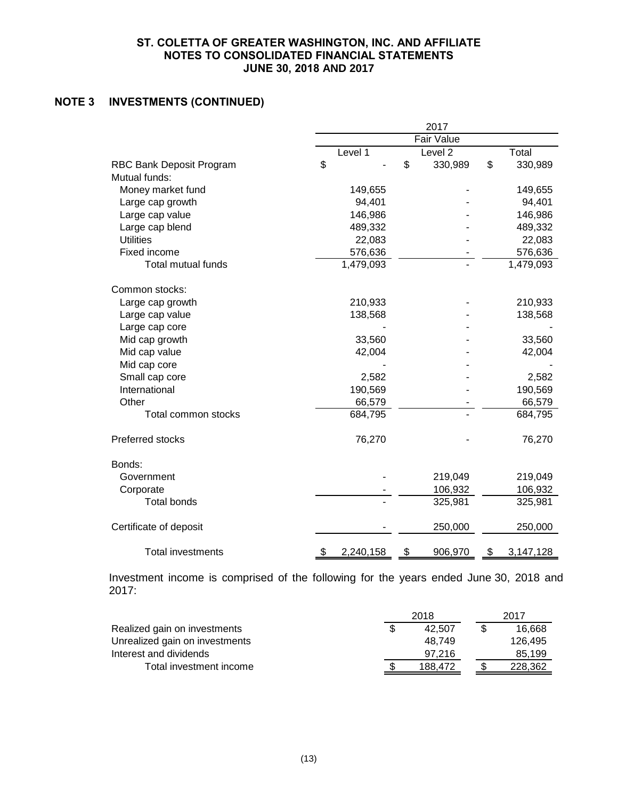# **NOTE 3 INVESTMENTS (CONTINUED)**

|                           | 2017              |    |                    |    |           |
|---------------------------|-------------------|----|--------------------|----|-----------|
|                           | <b>Fair Value</b> |    |                    |    |           |
|                           | Level 1           |    | Level <sub>2</sub> |    | Total     |
| RBC Bank Deposit Program  | \$                | \$ | 330,989            | \$ | 330,989   |
| Mutual funds:             |                   |    |                    |    |           |
| Money market fund         | 149,655           |    |                    |    | 149,655   |
| Large cap growth          | 94,401            |    |                    |    | 94,401    |
| Large cap value           | 146,986           |    |                    |    | 146,986   |
| Large cap blend           | 489,332           |    |                    |    | 489,332   |
| <b>Utilities</b>          | 22,083            |    |                    |    | 22,083    |
| Fixed income              | 576,636           |    |                    |    | 576,636   |
| <b>Total mutual funds</b> | 1,479,093         |    |                    |    | 1,479,093 |
| Common stocks:            |                   |    |                    |    |           |
| Large cap growth          | 210,933           |    |                    |    | 210,933   |
| Large cap value           | 138,568           |    |                    |    | 138,568   |
| Large cap core            |                   |    |                    |    |           |
| Mid cap growth            | 33,560            |    |                    |    | 33,560    |
| Mid cap value             | 42,004            |    |                    |    | 42,004    |
| Mid cap core              |                   |    |                    |    |           |
| Small cap core            | 2,582             |    |                    |    | 2,582     |
| International             | 190,569           |    |                    |    | 190,569   |
| Other                     | 66,579            |    |                    |    | 66,579    |
| Total common stocks       | 684,795           |    |                    |    | 684,795   |
| Preferred stocks          | 76,270            |    |                    |    | 76,270    |
| Bonds:                    |                   |    |                    |    |           |
| Government                |                   |    | 219,049            |    | 219,049   |
| Corporate                 |                   |    | 106,932            |    | 106,932   |
| <b>Total bonds</b>        |                   |    | 325,981            |    | 325,981   |
| Certificate of deposit    |                   |    | 250,000            |    | 250,000   |
| <b>Total investments</b>  | 2,240,158<br>\$   | \$ | 906,970            | \$ | 3,147,128 |

Investment income is comprised of the following for the years ended June 30, 2018 and 2017:

|                                | 2018 |         | 2017 |         |
|--------------------------------|------|---------|------|---------|
| Realized gain on investments   |      | 42.507  |      | 16.668  |
| Unrealized gain on investments |      | 48.749  |      | 126.495 |
| Interest and dividends         |      | 97.216  |      | 85,199  |
| Total investment income        |      | 188.472 |      | 228.362 |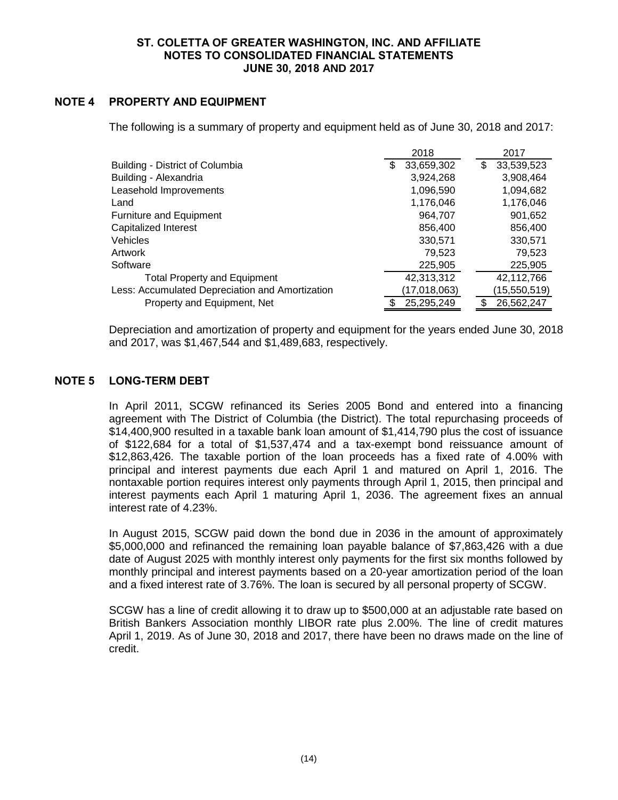# **NOTE 4 PROPERTY AND EQUIPMENT**

The following is a summary of property and equipment held as of June 30, 2018 and 2017:

|                                                 | 2018             | 2017              |
|-------------------------------------------------|------------------|-------------------|
| Building - District of Columbia                 | 33,659,302<br>\$ | 33,539,523<br>\$. |
| Building - Alexandria                           | 3,924,268        | 3,908,464         |
| Leasehold Improvements                          | 1,096,590        | 1,094,682         |
| Land                                            | 1,176,046        | 1,176,046         |
| <b>Furniture and Equipment</b>                  | 964.707          | 901,652           |
| Capitalized Interest                            | 856,400          | 856,400           |
| Vehicles                                        | 330,571          | 330,571           |
| Artwork                                         | 79,523           | 79,523            |
| Software                                        | 225,905          | 225,905           |
| <b>Total Property and Equipment</b>             | 42,313,312       | 42,112,766        |
| Less: Accumulated Depreciation and Amortization | (17,018,063)     | (15,550,519)      |
| Property and Equipment, Net                     | 25,295,249       | 26,562,247        |

Depreciation and amortization of property and equipment for the years ended June 30, 2018 and 2017, was \$1,467,544 and \$1,489,683, respectively.

## **NOTE 5 LONG-TERM DEBT**

In April 2011, SCGW refinanced its Series 2005 Bond and entered into a financing agreement with The District of Columbia (the District). The total repurchasing proceeds of \$14,400,900 resulted in a taxable bank loan amount of \$1,414,790 plus the cost of issuance of \$122,684 for a total of \$1,537,474 and a tax-exempt bond reissuance amount of \$12,863,426. The taxable portion of the loan proceeds has a fixed rate of 4.00% with principal and interest payments due each April 1 and matured on April 1, 2016. The nontaxable portion requires interest only payments through April 1, 2015, then principal and interest payments each April 1 maturing April 1, 2036. The agreement fixes an annual interest rate of 4.23%.

In August 2015, SCGW paid down the bond due in 2036 in the amount of approximately \$5,000,000 and refinanced the remaining loan payable balance of \$7,863,426 with a due date of August 2025 with monthly interest only payments for the first six months followed by monthly principal and interest payments based on a 20-year amortization period of the loan and a fixed interest rate of 3.76%. The loan is secured by all personal property of SCGW.

SCGW has a line of credit allowing it to draw up to \$500,000 at an adjustable rate based on British Bankers Association monthly LIBOR rate plus 2.00%. The line of credit matures April 1, 2019. As of June 30, 2018 and 2017, there have been no draws made on the line of credit.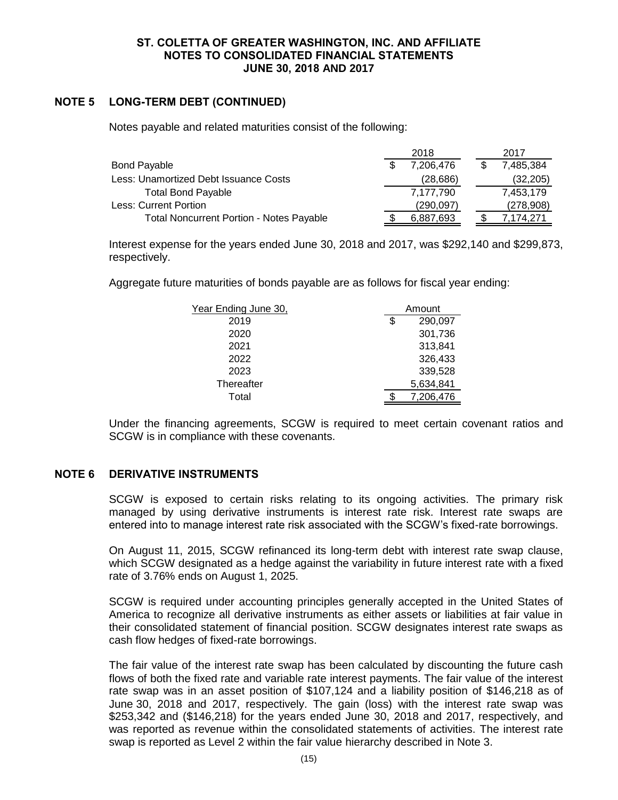# **NOTE 5 LONG-TERM DEBT (CONTINUED)**

Notes payable and related maturities consist of the following:

|                                                 | 2018      |  | 2017      |
|-------------------------------------------------|-----------|--|-----------|
| <b>Bond Payable</b>                             | 7,206,476 |  | 7,485,384 |
| Less: Unamortized Debt Issuance Costs           | (28, 686) |  | (32, 205) |
| <b>Total Bond Payable</b>                       | 7,177,790 |  | 7,453,179 |
| Less: Current Portion                           | (290,097) |  | (278,908) |
| <b>Total Noncurrent Portion - Notes Payable</b> | 6,887,693 |  | 7.174.271 |

Interest expense for the years ended June 30, 2018 and 2017, was \$292,140 and \$299,873, respectively.

Aggregate future maturities of bonds payable are as follows for fiscal year ending:

| Year Ending June 30, | Amount        |
|----------------------|---------------|
| 2019                 | \$<br>290,097 |
| 2020                 | 301,736       |
| 2021                 | 313,841       |
| 2022                 | 326,433       |
| 2023                 | 339,528       |
| Thereafter           | 5,634,841     |
| Total                | 7,206,476     |

Under the financing agreements, SCGW is required to meet certain covenant ratios and SCGW is in compliance with these covenants.

## **NOTE 6 DERIVATIVE INSTRUMENTS**

SCGW is exposed to certain risks relating to its ongoing activities. The primary risk managed by using derivative instruments is interest rate risk. Interest rate swaps are entered into to manage interest rate risk associated with the SCGW's fixed-rate borrowings.

On August 11, 2015, SCGW refinanced its long-term debt with interest rate swap clause, which SCGW designated as a hedge against the variability in future interest rate with a fixed rate of 3.76% ends on August 1, 2025.

SCGW is required under accounting principles generally accepted in the United States of America to recognize all derivative instruments as either assets or liabilities at fair value in their consolidated statement of financial position. SCGW designates interest rate swaps as cash flow hedges of fixed-rate borrowings.

The fair value of the interest rate swap has been calculated by discounting the future cash flows of both the fixed rate and variable rate interest payments. The fair value of the interest rate swap was in an asset position of \$107,124 and a liability position of \$146,218 as of June 30, 2018 and 2017, respectively. The gain (loss) with the interest rate swap was \$253,342 and (\$146,218) for the years ended June 30, 2018 and 2017, respectively, and was reported as revenue within the consolidated statements of activities. The interest rate swap is reported as Level 2 within the fair value hierarchy described in Note 3.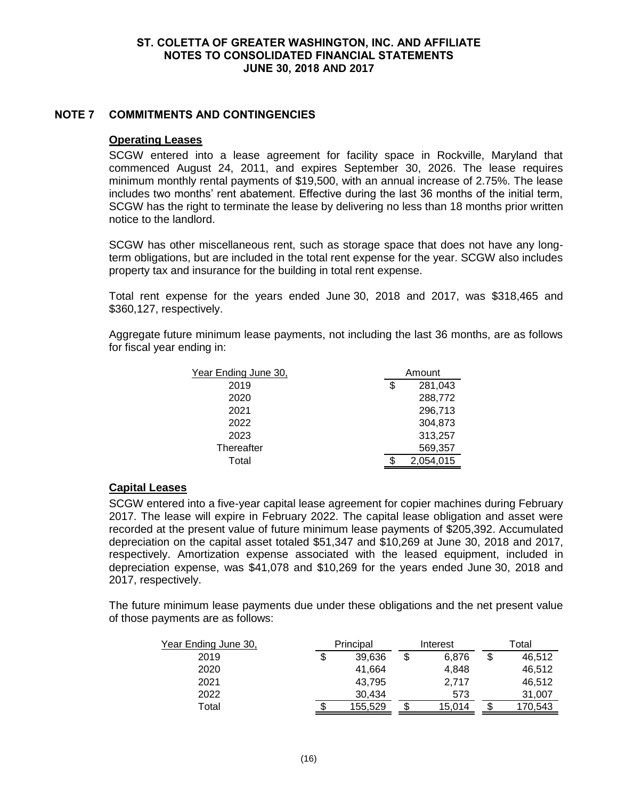## **NOTE 7 COMMITMENTS AND CONTINGENCIES**

#### **Operating Leases**

SCGW entered into a lease agreement for facility space in Rockville, Maryland that commenced August 24, 2011, and expires September 30, 2026. The lease requires minimum monthly rental payments of \$19,500, with an annual increase of 2.75%. The lease includes two months' rent abatement. Effective during the last 36 months of the initial term, SCGW has the right to terminate the lease by delivering no less than 18 months prior written notice to the landlord.

SCGW has other miscellaneous rent, such as storage space that does not have any longterm obligations, but are included in the total rent expense for the year. SCGW also includes property tax and insurance for the building in total rent expense.

Total rent expense for the years ended June 30, 2018 and 2017, was \$318,465 and \$360,127, respectively.

Aggregate future minimum lease payments, not including the last 36 months, are as follows for fiscal year ending in:

| Year Ending June 30, | Amount        |           |  |  |
|----------------------|---------------|-----------|--|--|
| 2019                 | 281,043<br>\$ |           |  |  |
| 2020                 |               | 288,772   |  |  |
| 2021                 |               | 296,713   |  |  |
| 2022                 |               | 304,873   |  |  |
| 2023                 |               | 313,257   |  |  |
| Thereafter           |               | 569,357   |  |  |
| Total                |               | 2.054.015 |  |  |

# **Capital Leases**

SCGW entered into a five-year capital lease agreement for copier machines during February 2017. The lease will expire in February 2022. The capital lease obligation and asset were recorded at the present value of future minimum lease payments of \$205,392. Accumulated depreciation on the capital asset totaled \$51,347 and \$10,269 at June 30, 2018 and 2017, respectively. Amortization expense associated with the leased equipment, included in depreciation expense, was \$41,078 and \$10,269 for the years ended June 30, 2018 and 2017, respectively.

The future minimum lease payments due under these obligations and the net present value of those payments are as follows:

| Year Ending June 30, | Principal    | Interest    | Total |         |  |  |
|----------------------|--------------|-------------|-------|---------|--|--|
| 2019                 | \$<br>39.636 | \$<br>6.876 | \$    | 46,512  |  |  |
| 2020                 | 41.664       | 4.848       |       | 46.512  |  |  |
| 2021                 | 43.795       | 2.717       |       | 46.512  |  |  |
| 2022                 | 30,434       | 573         |       | 31.007  |  |  |
| Total                | 155,529      | 15,014      |       | 170.543 |  |  |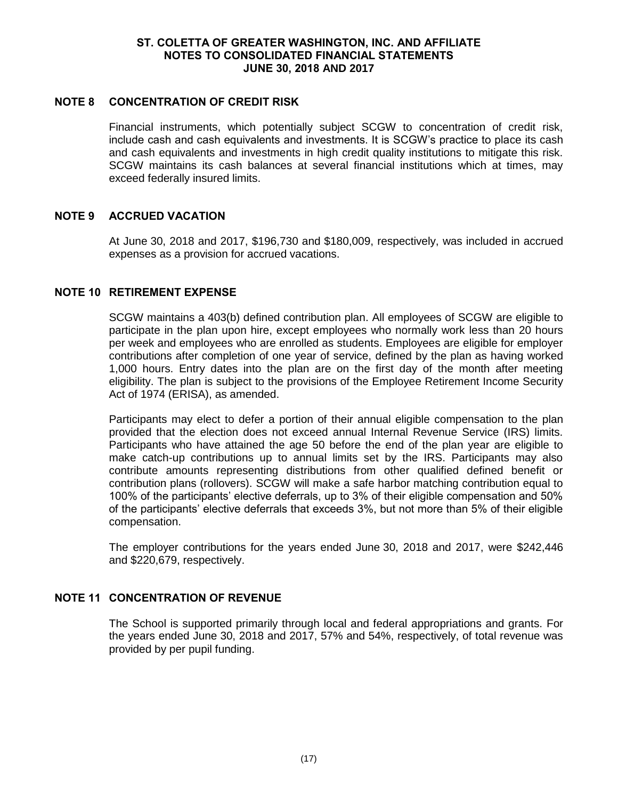#### **NOTE 8 CONCENTRATION OF CREDIT RISK**

Financial instruments, which potentially subject SCGW to concentration of credit risk, include cash and cash equivalents and investments. It is SCGW's practice to place its cash and cash equivalents and investments in high credit quality institutions to mitigate this risk. SCGW maintains its cash balances at several financial institutions which at times, may exceed federally insured limits.

## **NOTE 9 ACCRUED VACATION**

At June 30, 2018 and 2017, \$196,730 and \$180,009, respectively, was included in accrued expenses as a provision for accrued vacations.

## **NOTE 10 RETIREMENT EXPENSE**

SCGW maintains a 403(b) defined contribution plan. All employees of SCGW are eligible to participate in the plan upon hire, except employees who normally work less than 20 hours per week and employees who are enrolled as students. Employees are eligible for employer contributions after completion of one year of service, defined by the plan as having worked 1,000 hours. Entry dates into the plan are on the first day of the month after meeting eligibility. The plan is subject to the provisions of the Employee Retirement Income Security Act of 1974 (ERISA), as amended.

Participants may elect to defer a portion of their annual eligible compensation to the plan provided that the election does not exceed annual Internal Revenue Service (IRS) limits. Participants who have attained the age 50 before the end of the plan year are eligible to make catch-up contributions up to annual limits set by the IRS. Participants may also contribute amounts representing distributions from other qualified defined benefit or contribution plans (rollovers). SCGW will make a safe harbor matching contribution equal to 100% of the participants' elective deferrals, up to 3% of their eligible compensation and 50% of the participants' elective deferrals that exceeds 3%, but not more than 5% of their eligible compensation.

The employer contributions for the years ended June 30, 2018 and 2017, were \$242,446 and \$220,679, respectively.

# **NOTE 11 CONCENTRATION OF REVENUE**

The School is supported primarily through local and federal appropriations and grants. For the years ended June 30, 2018 and 2017, 57% and 54%, respectively, of total revenue was provided by per pupil funding.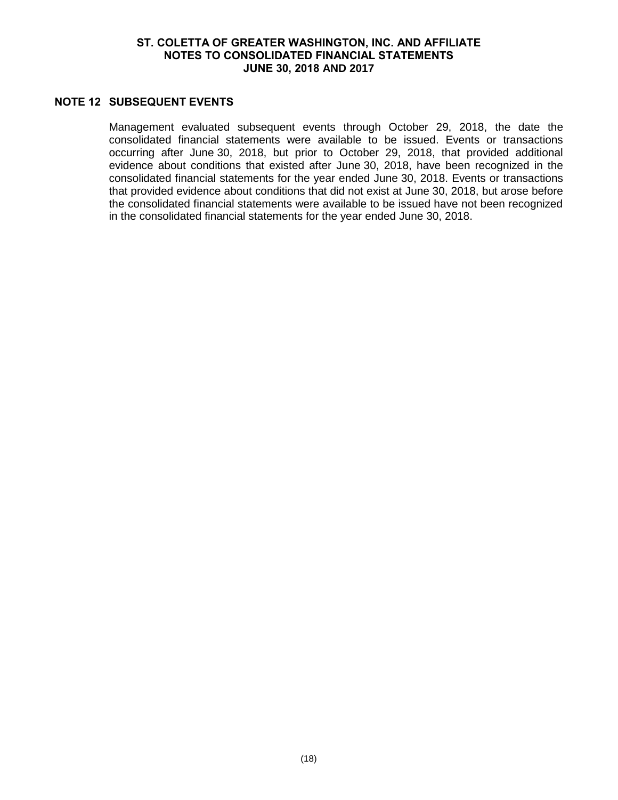## **NOTE 12 SUBSEQUENT EVENTS**

Management evaluated subsequent events through October 29, 2018, the date the consolidated financial statements were available to be issued. Events or transactions occurring after June 30, 2018, but prior to October 29, 2018, that provided additional evidence about conditions that existed after June 30, 2018, have been recognized in the consolidated financial statements for the year ended June 30, 2018. Events or transactions that provided evidence about conditions that did not exist at June 30, 2018, but arose before the consolidated financial statements were available to be issued have not been recognized in the consolidated financial statements for the year ended June 30, 2018.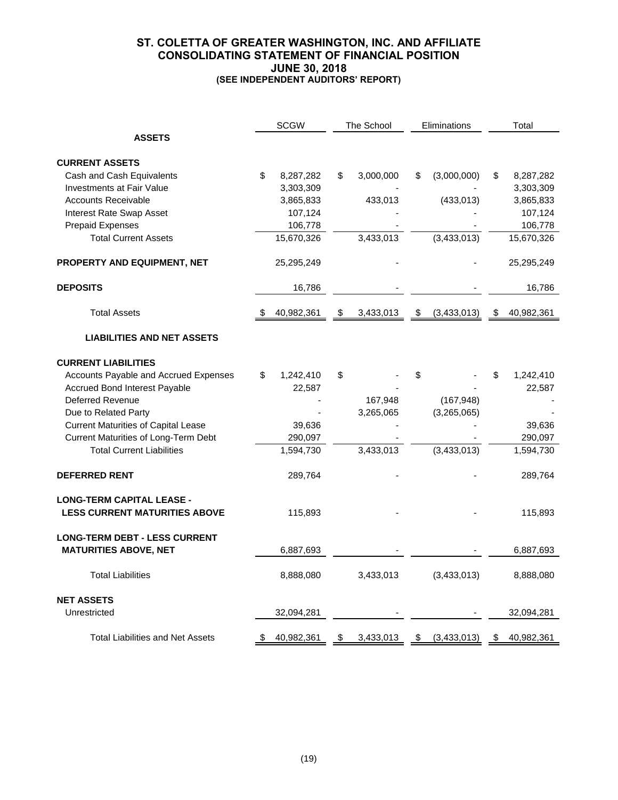## **ST. COLETTA OF GREATER WASHINGTON, INC. AND AFFILIATE CONSOLIDATING STATEMENT OF FINANCIAL POSITION JUNE 30, 2018 (SEE INDEPENDENT AUDITORS' REPORT)**

|                                                               |    | <b>SCGW</b>            |    | The School | Eliminations      | Total |                        |
|---------------------------------------------------------------|----|------------------------|----|------------|-------------------|-------|------------------------|
| <b>ASSETS</b>                                                 |    |                        |    |            |                   |       |                        |
|                                                               |    |                        |    |            |                   |       |                        |
| <b>CURRENT ASSETS</b>                                         | \$ |                        | \$ |            | \$                |       |                        |
| Cash and Cash Equivalents<br><b>Investments at Fair Value</b> |    | 8,287,282<br>3,303,309 |    | 3,000,000  | (3,000,000)       | S     | 8,287,282<br>3,303,309 |
| <b>Accounts Receivable</b>                                    |    | 3,865,833              |    |            | (433, 013)        |       |                        |
|                                                               |    |                        |    | 433,013    |                   |       | 3,865,833              |
| <b>Interest Rate Swap Asset</b>                               |    | 107,124                |    |            |                   |       | 107,124                |
| <b>Prepaid Expenses</b><br><b>Total Current Assets</b>        |    | 106,778                |    |            |                   |       | 106,778                |
|                                                               |    | 15,670,326             |    | 3,433,013  | (3,433,013)       |       | 15,670,326             |
| PROPERTY AND EQUIPMENT, NET                                   |    | 25,295,249             |    |            |                   |       | 25,295,249             |
| <b>DEPOSITS</b>                                               |    | 16,786                 |    |            |                   |       | 16,786                 |
| <b>Total Assets</b>                                           |    | 40,982,361             | \$ | 3,433,013  | \$<br>(3,433,013) | \$    | 40,982,361             |
|                                                               |    |                        |    |            |                   |       |                        |
| <b>LIABILITIES AND NET ASSETS</b>                             |    |                        |    |            |                   |       |                        |
| <b>CURRENT LIABILITIES</b>                                    |    |                        |    |            |                   |       |                        |
| Accounts Payable and Accrued Expenses                         | \$ | 1,242,410              | \$ |            | \$                | \$    | 1,242,410              |
| <b>Accrued Bond Interest Payable</b>                          |    | 22,587                 |    |            |                   |       | 22,587                 |
| <b>Deferred Revenue</b>                                       |    |                        |    | 167,948    | (167, 948)        |       |                        |
| Due to Related Party                                          |    |                        |    | 3,265,065  | (3,265,065)       |       |                        |
| <b>Current Maturities of Capital Lease</b>                    |    | 39,636                 |    |            |                   |       | 39,636                 |
| Current Maturities of Long-Term Debt                          |    | 290,097                |    |            |                   |       | 290,097                |
| <b>Total Current Liabilities</b>                              |    | 1,594,730              |    | 3,433,013  | (3,433,013)       |       | 1,594,730              |
|                                                               |    |                        |    |            |                   |       |                        |
| <b>DEFERRED RENT</b>                                          |    | 289,764                |    |            |                   |       | 289,764                |
| <b>LONG-TERM CAPITAL LEASE -</b>                              |    |                        |    |            |                   |       |                        |
| <b>LESS CURRENT MATURITIES ABOVE</b>                          |    | 115,893                |    |            |                   |       | 115,893                |
|                                                               |    |                        |    |            |                   |       |                        |
| <b>LONG-TERM DEBT - LESS CURRENT</b>                          |    |                        |    |            |                   |       |                        |
| <b>MATURITIES ABOVE, NET</b>                                  |    | 6,887,693              |    |            |                   |       | 6,887,693              |
|                                                               |    |                        |    |            |                   |       |                        |
| <b>Total Liabilities</b>                                      |    | 8,888,080              |    | 3,433,013  | (3,433,013)       |       | 8,888,080              |
| <b>NET ASSETS</b>                                             |    |                        |    |            |                   |       |                        |
| Unrestricted                                                  |    | 32,094,281             |    |            |                   |       | 32,094,281             |
|                                                               |    |                        |    |            |                   |       |                        |
| <b>Total Liabilities and Net Assets</b>                       | S  | 40,982,361             | \$ | 3,433,013  | \$<br>(3,433,013) | \$    | 40,982,361             |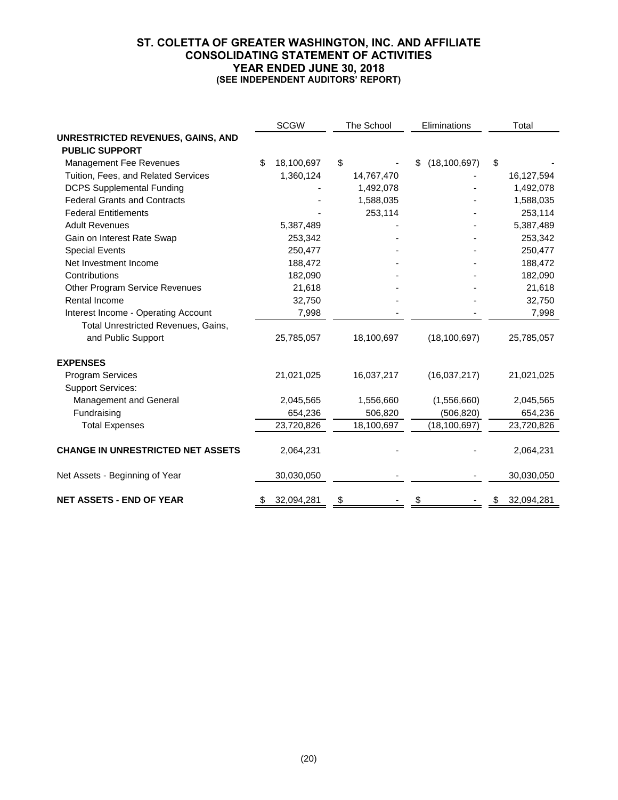## **ST. COLETTA OF GREATER WASHINGTON, INC. AND AFFILIATE CONSOLIDATING STATEMENT OF ACTIVITIES YEAR ENDED JUNE 30, 2018 (SEE INDEPENDENT AUDITORS' REPORT)**

|                                          | <b>SCGW</b> |            | The School | Eliminations         | Total            |
|------------------------------------------|-------------|------------|------------|----------------------|------------------|
| UNRESTRICTED REVENUES, GAINS, AND        |             |            |            |                      |                  |
| <b>PUBLIC SUPPORT</b>                    |             |            |            |                      |                  |
| <b>Management Fee Revenues</b>           | \$          | 18,100,697 | \$         | (18, 100, 697)<br>\$ | \$               |
| Tuition, Fees, and Related Services      |             | 1,360,124  | 14,767,470 |                      | 16,127,594       |
| <b>DCPS Supplemental Funding</b>         |             |            | 1,492,078  |                      | 1,492,078        |
| <b>Federal Grants and Contracts</b>      |             |            | 1,588,035  |                      | 1,588,035        |
| <b>Federal Entitlements</b>              |             |            | 253,114    |                      | 253,114          |
| <b>Adult Revenues</b>                    |             | 5,387,489  |            |                      | 5,387,489        |
| Gain on Interest Rate Swap               |             | 253,342    |            |                      | 253,342          |
| <b>Special Events</b>                    |             | 250,477    |            |                      | 250,477          |
| Net Investment Income                    |             | 188,472    |            |                      | 188,472          |
| Contributions                            |             | 182,090    |            |                      | 182,090          |
| Other Program Service Revenues           |             | 21,618     |            |                      | 21,618           |
| Rental Income                            |             | 32,750     |            |                      | 32,750           |
| Interest Income - Operating Account      |             | 7,998      |            |                      | 7,998            |
| Total Unrestricted Revenues, Gains,      |             |            |            |                      |                  |
| and Public Support                       |             | 25,785,057 | 18,100,697 | (18, 100, 697)       | 25,785,057       |
| <b>EXPENSES</b>                          |             |            |            |                      |                  |
| <b>Program Services</b>                  |             | 21,021,025 | 16,037,217 | (16,037,217)         | 21,021,025       |
| <b>Support Services:</b>                 |             |            |            |                      |                  |
| Management and General                   |             | 2,045,565  | 1,556,660  | (1,556,660)          | 2,045,565        |
| Fundraising                              |             | 654,236    | 506,820    | (506, 820)           | 654,236          |
| <b>Total Expenses</b>                    |             | 23,720,826 | 18,100,697 | (18, 100, 697)       | 23,720,826       |
| <b>CHANGE IN UNRESTRICTED NET ASSETS</b> |             | 2,064,231  |            |                      | 2,064,231        |
| Net Assets - Beginning of Year           |             | 30,030,050 |            |                      | 30,030,050       |
| <b>NET ASSETS - END OF YEAR</b>          | \$          | 32,094,281 | \$         |                      | \$<br>32,094,281 |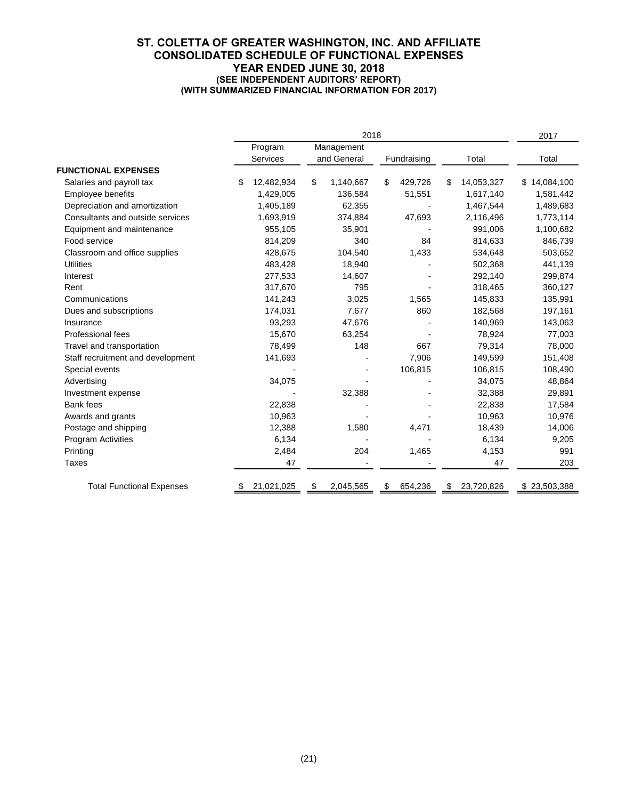#### **ST. COLETTA OF GREATER WASHINGTON, INC. AND AFFILIATE CONSOLIDATED SCHEDULE OF FUNCTIONAL EXPENSES YEAR ENDED JUNE 30, 2018 (SEE INDEPENDENT AUDITORS' REPORT) (WITH SUMMARIZED FINANCIAL INFORMATION FOR 2017)**

|                                   | 2018 |            |    |             |    |             |    | 2017       |              |
|-----------------------------------|------|------------|----|-------------|----|-------------|----|------------|--------------|
|                                   |      | Program    |    | Management  |    |             |    |            |              |
|                                   |      | Services   |    | and General |    | Fundraising |    | Total      | Total        |
| <b>FUNCTIONAL EXPENSES</b>        |      |            |    |             |    |             |    |            |              |
| Salaries and payroll tax          | \$   | 12,482,934 | \$ | 1,140,667   | \$ | 429,726     | \$ | 14,053,327 | \$14,084,100 |
| Employee benefits                 |      | 1,429,005  |    | 136,584     |    | 51,551      |    | 1,617,140  | 1,581,442    |
| Depreciation and amortization     |      | 1,405,189  |    | 62,355      |    |             |    | 1,467,544  | 1,489,683    |
| Consultants and outside services  |      | 1,693,919  |    | 374,884     |    | 47,693      |    | 2,116,496  | 1,773,114    |
| Equipment and maintenance         |      | 955,105    |    | 35,901      |    |             |    | 991,006    | 1,100,682    |
| Food service                      |      | 814,209    |    | 340         |    | 84          |    | 814,633    | 846,739      |
| Classroom and office supplies     |      | 428,675    |    | 104,540     |    | 1,433       |    | 534,648    | 503,652      |
| <b>Utilities</b>                  |      | 483,428    |    | 18,940      |    |             |    | 502,368    | 441,139      |
| Interest                          |      | 277,533    |    | 14,607      |    |             |    | 292,140    | 299,874      |
| Rent                              |      | 317,670    |    | 795         |    |             |    | 318,465    | 360,127      |
| Communications                    |      | 141,243    |    | 3,025       |    | 1,565       |    | 145,833    | 135,991      |
| Dues and subscriptions            |      | 174,031    |    | 7,677       |    | 860         |    | 182,568    | 197,161      |
| Insurance                         |      | 93,293     |    | 47,676      |    |             |    | 140,969    | 143,063      |
| Professional fees                 |      | 15,670     |    | 63,254      |    |             |    | 78,924     | 77,003       |
| Travel and transportation         |      | 78,499     |    | 148         |    | 667         |    | 79,314     | 78,000       |
| Staff recruitment and development |      | 141,693    |    |             |    | 7,906       |    | 149,599    | 151,408      |
| Special events                    |      |            |    |             |    | 106,815     |    | 106,815    | 108,490      |
| Advertising                       |      | 34,075     |    |             |    |             |    | 34,075     | 48,864       |
| Investment expense                |      |            |    | 32,388      |    |             |    | 32,388     | 29,891       |
| Bank fees                         |      | 22,838     |    |             |    |             |    | 22,838     | 17,584       |
| Awards and grants                 |      | 10,963     |    |             |    |             |    | 10,963     | 10,976       |
| Postage and shipping              |      | 12,388     |    | 1,580       |    | 4,471       |    | 18,439     | 14,006       |
| <b>Program Activities</b>         |      | 6,134      |    |             |    |             |    | 6,134      | 9,205        |
| Printing                          |      | 2,484      |    | 204         |    | 1,465       |    | 4,153      | 991          |
| Taxes                             |      | 47         |    |             |    |             |    | 47         | 203          |
| <b>Total Functional Expenses</b>  |      | 21,021,025 |    | 2,045,565   | S  | 654,236     | \$ | 23,720,826 | \$23,503,388 |